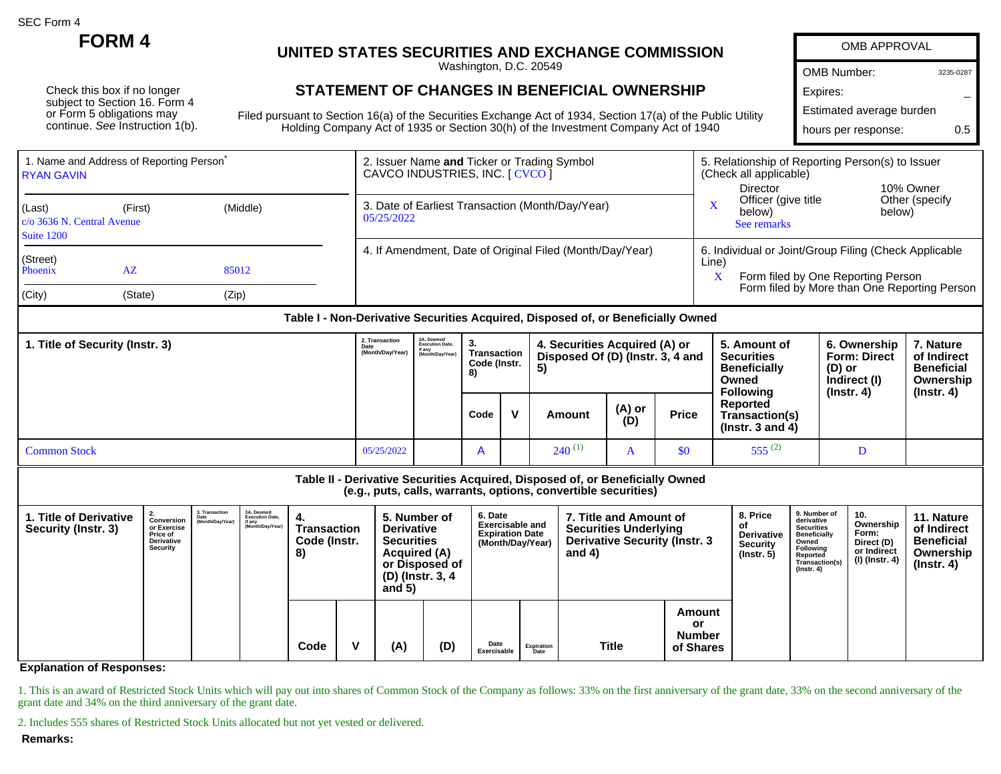SEC Form 4

Check this box if no longer subject to Section 16. Form 4 or Form 5 obligations may continue. See Instruction 1(b).

## **FORM 4 UNITED STATES SECURITIES AND EXCHANGE COMMISSION**

Washington, D.C. 20549

## **STATEMENT OF CHANGES IN BENEFICIAL OWNERSHIP**

Filed pursuant to Section 16(a) of the Securities Exchange Act of 1934, Section 17(a) of the Public Utility Holding Company Act of 1935 or Section 30(h) of the Investment Company Act of 1940

| <b>OMB APPROVAL</b>      |           |
|--------------------------|-----------|
| <b>OMB Number:</b>       | 3235-0287 |
| Expires:                 |           |
| Estimated average burden |           |
| hours per response:      | 05        |

| 1. Name and Address of Reporting Person <sup>®</sup><br><b>RYAN GAVIN</b>          |                          |       |                                                                | 2. Issuer Name and Ticker or Trading Symbol<br>CAVCO INDUSTRIES, INC. [ CVCO ] | 5. Relationship of Reporting Person(s) to Issuer<br>(Check all applicable)                           |                                       |                                              |  |  |
|------------------------------------------------------------------------------------|--------------------------|-------|----------------------------------------------------------------|--------------------------------------------------------------------------------|------------------------------------------------------------------------------------------------------|---------------------------------------|----------------------------------------------|--|--|
| (Last)<br>(Middle)<br>(First)<br>$\rm  c$ (o 3636 N. Central Avenue)<br>Suite 1200 |                          |       | 3. Date of Earliest Transaction (Month/Day/Year)<br>05/25/2022 |                                                                                | Director<br>Officer (give title<br>below)<br>See remarks                                             | 10% Owner<br>Other (specify<br>below) |                                              |  |  |
| (Street)<br>Phoenix                                                                | $A\overline{Z}$<br>85012 |       |                                                                | 4. If Amendment, Date of Original Filed (Month/Day/Year)                       | 6. Individual or Joint/Group Filing (Check Applicable<br>Line)<br>Form filed by One Reporting Person |                                       |                                              |  |  |
| (City)                                                                             | (State)                  | (Zip) |                                                                |                                                                                |                                                                                                      |                                       | Form filed by More than One Reporting Person |  |  |

## **Table I - Non-Derivative Securities Acquired, Disposed of, or Beneficially Owned**

| 1. Title of Security (Instr. 3) |            | 2A. Deemed<br><b>Execution Date,</b><br>if any<br>(Month/Day/Year) | З.<br>Transaction<br>Code (Instr.<br>8) |   | 4. Securities Acquired (A) or<br>Disposed Of (D) (Instr. 3, 4 and<br>-5) |               |              | 5. Amount of<br><b>Securities</b><br><b>Beneficially</b><br>Owned<br><b>Following</b> | 6. Ownership<br><b>Form: Direct</b><br>(D) or<br>Indirect (I)<br>(Instr. 4) | 7. Nature<br>of Indirect<br><b>Beneficial</b><br>Ownership |
|---------------------------------|------------|--------------------------------------------------------------------|-----------------------------------------|---|--------------------------------------------------------------------------|---------------|--------------|---------------------------------------------------------------------------------------|-----------------------------------------------------------------------------|------------------------------------------------------------|
|                                 |            |                                                                    | Code                                    | v | Amount                                                                   | (A) or<br>(D) | <b>Price</b> | Reported<br>Transaction(s)<br>( $lnstr. 3$ and 4)                                     |                                                                             | $($ lnstr. 4 $)$                                           |
| <b>Common Stock</b>             | 05/25/2022 |                                                                    |                                         |   | $240^{(1)}$                                                              |               | \$0          | $555^{(2)}$                                                                           |                                                                             |                                                            |

## **Table II - Derivative Securities Acquired, Disposed of, or Beneficially Owned**

**(e.g., puts, calls, warrants, options, convertible securities)**

| 1. Title of Derivative<br>Security (Instr. 3) | Conversion<br>or Exercise<br>Price of<br>Derivative<br>Security |  |  | 3. Transaction<br>o: 11anuaction<br>Date<br>(Month/Day/Year) | 3A. Deemed<br>Execution Date,<br>if any<br>(Month/Day/Year) | 4.<br><b>Transaction</b><br>Code (Instr.<br>8) |     | 5. Number of<br><b>Derivative</b><br><b>Securities</b><br><b>Acquired (A)</b><br>(D) (Instr. 3, 4<br>and $5)$ | or Disposed of      | 6. Date<br><b>Exercisable and</b><br><b>Expiration Date</b><br>(Month/Day/Year) |       | 7. Title and Amount of<br><b>Securities Underlying</b><br><b>Derivative Security (Instr. 3)</b><br>and $4)$ |  | 8. Price<br>оf<br><b>Derivative</b><br><b>Security</b><br>$($ lnstr. 5 $)$ | 9. Number of<br>derivative<br><b>Securities</b><br><b>Beneficially</b><br>Owned<br>Following<br>Reported<br>Transaction(s)<br>$($ Instr. 4 $)$ | 10.<br>Ownership<br>Form:<br>Direct (D)<br>or Indirect<br>(I) (Instr. 4) | 11. Nature<br>of Indirect<br><b>Beneficial</b><br>Ownership<br>(Instr. 4) |
|-----------------------------------------------|-----------------------------------------------------------------|--|--|--------------------------------------------------------------|-------------------------------------------------------------|------------------------------------------------|-----|---------------------------------------------------------------------------------------------------------------|---------------------|---------------------------------------------------------------------------------|-------|-------------------------------------------------------------------------------------------------------------|--|----------------------------------------------------------------------------|------------------------------------------------------------------------------------------------------------------------------------------------|--------------------------------------------------------------------------|---------------------------------------------------------------------------|
|                                               |                                                                 |  |  |                                                              | Code                                                        | $\mathbf{V}$                                   | (A) | (D)                                                                                                           | Date<br>Exercisable | Expiration<br>Date                                                              | Title | Amount<br>or<br><b>Number</b><br>of Shares                                                                  |  |                                                                            |                                                                                                                                                |                                                                          |                                                                           |

**Explanation of Responses:**

1. This is an award of Restricted Stock Units which will pay out into shares of Common Stock of the Company as follows: 33% on the first anniversary of the grant date, 33% on the second anniversary of the grant date and 34% on the third anniversary of the grant date.

2. Includes 555 shares of Restricted Stock Units allocated but not yet vested or delivered.